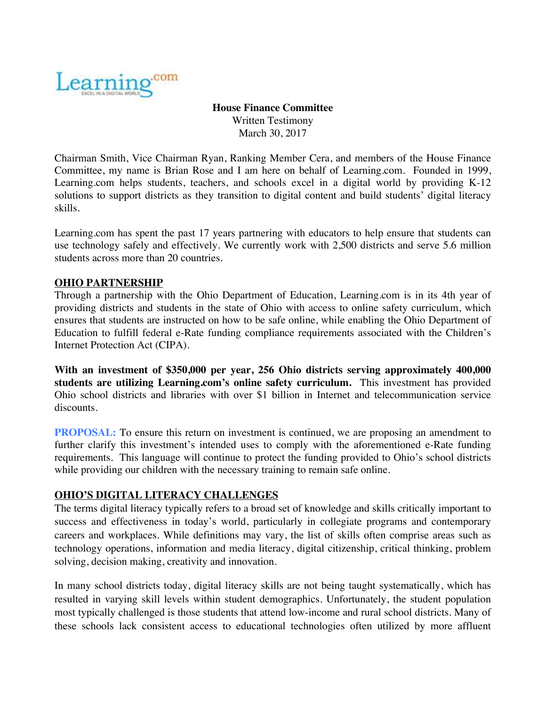

**House Finance Committee** Written Testimony March 30, 2017

Chairman Smith, Vice Chairman Ryan, Ranking Member Cera, and members of the House Finance Committee, my name is Brian Rose and I am here on behalf of Learning.com. Founded in 1999, Learning.com helps students, teachers, and schools excel in a digital world by providing K-12 solutions to support districts as they transition to digital content and build students' digital literacy skills.

Learning.com has spent the past 17 years partnering with educators to help ensure that students can use technology safely and effectively. We currently work with 2,500 districts and serve 5.6 million students across more than 20 countries.

## **OHIO PARTNERSHIP**

Through a partnership with the Ohio Department of Education, Learning.com is in its 4th year of providing districts and students in the state of Ohio with access to online safety curriculum, which ensures that students are instructed on how to be safe online, while enabling the Ohio Department of Education to fulfill federal e-Rate funding compliance requirements associated with the Children's Internet Protection Act (CIPA).

**With an investment of \$350,000 per year, 256 Ohio districts serving approximately 400,000 students are utilizing Learning.com's online safety curriculum.** This investment has provided Ohio school districts and libraries with over \$1 billion in Internet and telecommunication service discounts.

**PROPOSAL:** To ensure this return on investment is continued, we are proposing an amendment to further clarify this investment's intended uses to comply with the aforementioned e-Rate funding requirements. This language will continue to protect the funding provided to Ohio's school districts while providing our children with the necessary training to remain safe online.

## **OHIO'S DIGITAL LITERACY CHALLENGES**

The terms digital literacy typically refers to a broad set of knowledge and skills critically important to success and effectiveness in today's world, particularly in collegiate programs and contemporary careers and workplaces. While definitions may vary, the list of skills often comprise areas such as technology operations, information and media literacy, digital citizenship, critical thinking, problem solving, decision making, creativity and innovation.

In many school districts today, digital literacy skills are not being taught systematically, which has resulted in varying skill levels within student demographics. Unfortunately, the student population most typically challenged is those students that attend low-income and rural school districts. Many of these schools lack consistent access to educational technologies often utilized by more affluent